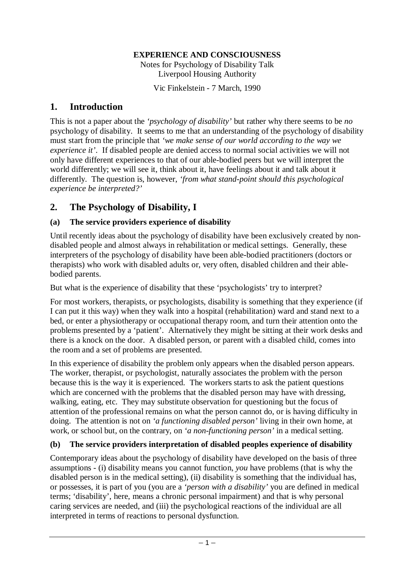#### **EXPERIENCE AND CONSCIOUSNESS**

Notes for Psychology of Disability Talk Liverpool Housing Authority

Vic Finkelstein - 7 March, 1990

### **1. Introduction**

This is not a paper about the *'psychology of disability'* but rather why there seems to be *no*  psychology of disability. It seems to me that an understanding of the psychology of disability must start from the principle that *'we make sense of our world according to the way we experience it'*. If disabled people are denied access to normal social activities we will not only have different experiences to that of our able-bodied peers but we will interpret the world differently; we will see it, think about it, have feelings about it and talk about it differently. The question is, however, *'from what stand-point should this psychological experience be interpreted?'* 

## **2. The Psychology of Disability, I**

### **(a) The service providers experience of disability**

Until recently ideas about the psychology of disability have been exclusively created by nondisabled people and almost always in rehabilitation or medical settings. Generally, these interpreters of the psychology of disability have been able-bodied practitioners (doctors or therapists) who work with disabled adults or, very often, disabled children and their ablebodied parents.

But what is the experience of disability that these 'psychologists' try to interpret?

For most workers, therapists, or psychologists, disability is something that they experience (if I can put it this way) when they walk into a hospital (rehabilitation) ward and stand next to a bed, or enter a physiotherapy or occupational therapy room, and turn their attention onto the problems presented by a 'patient'. Alternatively they might be sitting at their work desks and there is a knock on the door. A disabled person, or parent with a disabled child, comes into the room and a set of problems are presented.

In this experience of disability the problem only appears when the disabled person appears. The worker, therapist, or psychologist, naturally associates the problem with the person because this is the way it is experienced. The workers starts to ask the patient questions which are concerned with the problems that the disabled person may have with dressing, walking, eating, etc. They may substitute observation for questioning but the focus of attention of the professional remains on what the person cannot do, or is having difficulty in doing. The attention is not on *'a functioning disabled person'* living in their own home, at work, or school but, on the contrary, on *'a non-functioning person'* in a medical setting.

### **(b) The service providers interpretation of disabled peoples experience of disability**

Contemporary ideas about the psychology of disability have developed on the basis of three assumptions - (i) disability means you cannot function, *you* have problems (that is why the disabled person is in the medical setting), (ii) disability is something that the individual has, or possesses, it is part of you (you are a *'person with a disability'* you are defined in medical terms; 'disability', here, means a chronic personal impairment) and that is why personal caring services are needed, and (iii) the psychological reactions of the individual are all interpreted in terms of reactions to personal dysfunction.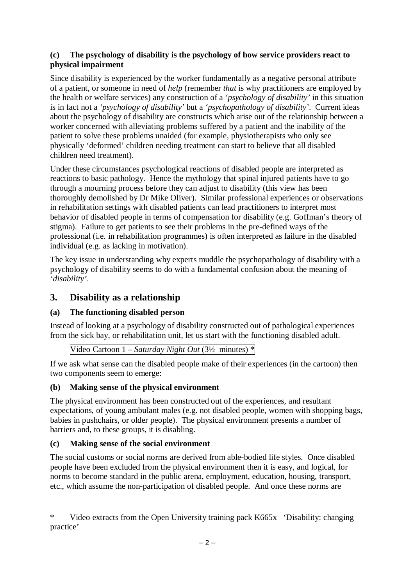#### **(c) The psychology of disability is the psychology of how service providers react to physical impairment**

Since disability is experienced by the worker fundamentally as a negative personal attribute of a patient, or someone in need of *help* (remember *that* is why practitioners are employed by the health or welfare services) any construction of a *'psychology of disability'* in this situation is in fact not a *'psychology of disability'* but a *'psychopathology of disability'*. Current ideas about the psychology of disability are constructs which arise out of the relationship between a worker concerned with alleviating problems suffered by a patient and the inability of the patient to solve these problems unaided (for example, physiotherapists who only see physically 'deformed' children needing treatment can start to believe that all disabled children need treatment).

Under these circumstances psychological reactions of disabled people are interpreted as reactions to basic pathology. Hence the mythology that spinal injured patients have to go through a mourning process before they can adjust to disability (this view has been thoroughly demolished by Dr Mike Oliver). Similar professional experiences or observations in rehabilitation settings with disabled patients can lead practitioners to interpret most behavior of disabled people in terms of compensation for disability (e.g. Goffman's theory of stigma). Failure to get patients to see their problems in the pre-defined ways of the professional (i.e. in rehabilitation programmes) is often interpreted as failure in the disabled individual (e.g. as lacking in motivation).

The key issue in understanding why experts muddle the psychopathology of disability with a psychology of disability seems to do with a fundamental confusion about the meaning of *'disability'*.

## **3. Disability as a relationship**

### **(a) The functioning disabled person**

Instead of looking at a psychology of disability constructed out of pathological experiences from the sick bay, or rehabilitation unit, let us start with the functioning disabled adult.

Video Cartoon 1 – *Saturday Night Out* (3½ minutes) \*

If we ask what sense can the disabled people make of their experiences (in the cartoon) then two components seem to emerge:

### **(b) Making sense of the physical environment**

The physical environment has been constructed out of the experiences, and resultant expectations, of young ambulant males (e.g. not disabled people, women with shopping bags, babies in pushchairs, or older people). The physical environment presents a number of barriers and, to these groups, it is disabling.

### **(c) Making sense of the social environment**

The social customs or social norms are derived from able-bodied life styles. Once disabled people have been excluded from the physical environment then it is easy, and logical, for norms to become standard in the public arena, employment, education, housing, transport, etc., which assume the non-participation of disabled people. And once these norms are

<sup>\*</sup> Video extracts from the Open University training pack K665x 'Disability: changing practice'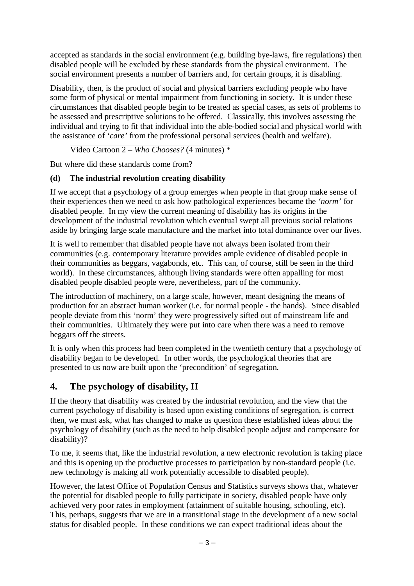accepted as standards in the social environment (e.g. building bye-laws, fire regulations) then disabled people will be excluded by these standards from the physical environment. The social environment presents a number of barriers and, for certain groups, it is disabling.

Disability, then, is the product of social and physical barriers excluding people who have some form of physical or mental impairment from functioning in society. It is under these circumstances that disabled people begin to be treated as special cases, as sets of problems to be assessed and prescriptive solutions to be offered. Classically, this involves assessing the individual and trying to fit that individual into the able-bodied social and physical world with the assistance of *'care'* from the professional personal services (health and welfare).

Video Cartoon 2 – *Who Chooses?* (4 minutes) \*

But where did these standards come from?

### **(d) The industrial revolution creating disability**

If we accept that a psychology of a group emerges when people in that group make sense of their experiences then we need to ask how pathological experiences became the *'norm'* for disabled people. In my view the current meaning of disability has its origins in the development of the industrial revolution which eventual swept all previous social relations aside by bringing large scale manufacture and the market into total dominance over our lives.

It is well to remember that disabled people have not always been isolated from their communities (e.g. contemporary literature provides ample evidence of disabled people in their communities as beggars, vagabonds, etc. This can, of course, still be seen in the third world). In these circumstances, although living standards were often appalling for most disabled people disabled people were, nevertheless, part of the community.

The introduction of machinery, on a large scale, however, meant designing the means of production for an abstract human worker (i.e. for normal people - the hands). Since disabled people deviate from this 'norm' they were progressively sifted out of mainstream life and their communities. Ultimately they were put into care when there was a need to remove beggars off the streets.

It is only when this process had been completed in the twentieth century that a psychology of disability began to be developed. In other words, the psychological theories that are presented to us now are built upon the 'precondition' of segregation.

# **4. The psychology of disability, II**

If the theory that disability was created by the industrial revolution, and the view that the current psychology of disability is based upon existing conditions of segregation, is correct then, we must ask, what has changed to make us question these established ideas about the psychology of disability (such as the need to help disabled people adjust and compensate for disability)?

To me, it seems that, like the industrial revolution, a new electronic revolution is taking place and this is opening up the productive processes to participation by non-standard people (i.e. new technology is making all work potentially accessible to disabled people).

However, the latest Office of Population Census and Statistics surveys shows that, whatever the potential for disabled people to fully participate in society, disabled people have only achieved very poor rates in employment (attainment of suitable housing, schooling, etc). This, perhaps, suggests that we are in a transitional stage in the development of a new social status for disabled people. In these conditions we can expect traditional ideas about the